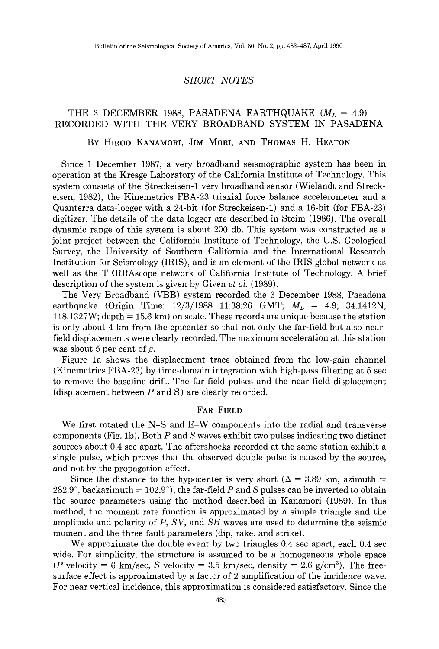# THE 3 DECEMBER 1988, PASADENA EARTHQUAKE  $(M_L = 4.9)$ RECORDED WITH THE VERY BROADBAND SYSTEM IN PASADENA

## BY HIROO KANAMORI, JIM MORI, AND THOMAS H. HEATON

Since 1 December 1987, a very broadband seismographic system has been in operation at the Kresge Laboratory of the California Institute of Technology. This system consists of the Streckeisen-1 very broadband sensor (Wielandt and Streckeisen, 1982), the Kinemetrics FBA-23 triaxial force balance accelerometer and a Quanterra data-logger with a 24-bit (for Streckeisen-1) and a 16-bit (for FBA-23) digitizer. The details of the data logger are described in Steim (1986). The overall dynamic range of this system is about 200 db. This system was constructed as a joint project between the California Institute of Technology, the U.S. Geological Survey, the University of Southern California and the International Research Institution for Seismology (IRIS), and is an element of the IRIS global network as well as the TERRAscope network of California Institute of Technology. A brief description of the system is given by Given *et al.* (1989).

The Very Broadband (VBB) system recorded the 3 December 1988, Pasadena earthquake (Origin Time:  $12/3/1988$  11:38:26 GMT;  $M_L = 4.9$ ; 34.1412N,  $118.1327W$ ; depth = 15.6 km) on scale. These records are unique because the station is only about 4 km from the epicenter so that not only the far-field but also nearfield displacements were clearly recorded. The maximum acceleration at this station was about 5 per cent of  $g$ .

Figure 1a shows the displacement trace obtained from the low-gain channel (Kinemetrics FBA-23) by time-domain integration with high-pass filtering at 5 sec to remove the baseline drift. The far-field pulses and the near-field displacement (displacement between *P* and S) are clearly recorded.

# FAR FIELD

We first rotated the N-S and E-W components into the radial and transverse components (Fig. 1b). Both  $P$  and  $S$  waves exhibit two pulses indicating two distinct sources about 0.4 sec apart. The aftershocks recorded at the same station exhibit a single pulse, which proves that the observed double pulse is caused by the source, and not by the propagation effect.

Since the distance to the hypocenter is very short ( $\Delta = 3.89$  km, azimuth =  $282.9^{\circ}$ , backazimuth =  $102.9^{\circ}$ ), the far-field P and *S* pulses can be inverted to obtain the source parameters using the method described in Kanamori (1989). In this method, the moment rate function is approximated by a simple triangle and the amplitude and polarity of *P, SV,* and *SH* waves are used to determine the seismic moment and the three fault parameters (dip, rake, and strike).

We approximate the double event by two triangles 0.4 sec apart, each 0.4 sec wide. For simplicity, the structure is assumed to be a homogeneous whole space (P velocity = 6 km/sec, S velocity = 3.5 km/sec, density = 2.6 g/cm<sup>3</sup>). The freesurface effect is approximated by a factor of 2 amplification of the incidence wave. For near vertical incidence, this approximation is considered satisfactory. Since the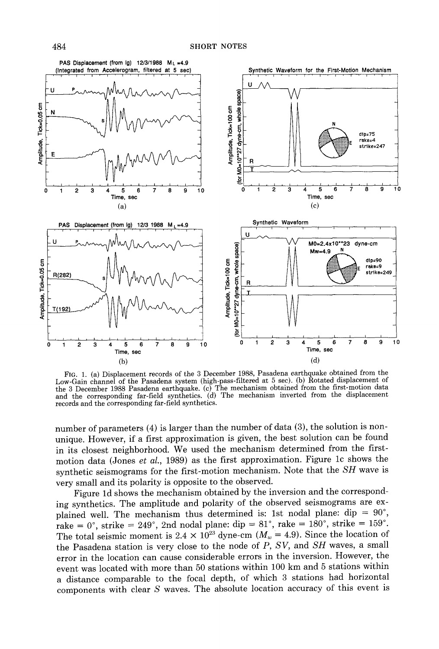

FIG. 1. (a) Displacement records of the 3 December 1988, Pasadena earthquake obtained from the Low-Gain channel of the Pasadena system (high-pass-filtered at 5 sec). (b) Rotated displacement of the 3 December 1988 Pasadena earthquake. (c) The mechanism obtained from the first-motion data and the corresponding far-field synthetics. (d) The mechanism inverted from the displacement records and the corresponding far-field synthetics.

number of parameters (4) is larger than the number of data (3), the solution is nonunique. However, if a first approximation is given, the best solution can be found in its closest neighborhood. We used the mechanism determined from the firstmotion data (Jones *et al.,* 1989) as the first approximation. Figure lc shows the synthetic seismograms for the first-motion mechanism. Note that the *SH* wave is very small and its polarity is opposite to the observed.

Figure ld shows the mechanism obtained by the inversion and the corresponding synthetics. The amplitude and polarity of the observed seismograms are explained well. The mechanism thus determined is: 1st nodal plane: dip =  $90^{\circ}$ , rake =  $0^{\circ}$ , strike =  $249^{\circ}$ , 2nd nodal plane: dip =  $81^{\circ}$ , rake =  $180^{\circ}$ , strike =  $159^{\circ}$ . The total seismic moment is 2.4  $\times$  10<sup>23</sup> dyne-cm ( $M_w = 4.9$ ). Since the location of the Pasadena station is very close to the node of *P, SV,* and *SH* waves, a small error in the location can cause considerable errors in the inversion. However, the event was located with more than 50 stations within 100 km and 5 stations within a distance comparable to the focal depth, of which 3 stations had horizontal components with clear *S* waves. The absolute location accuracy of this event is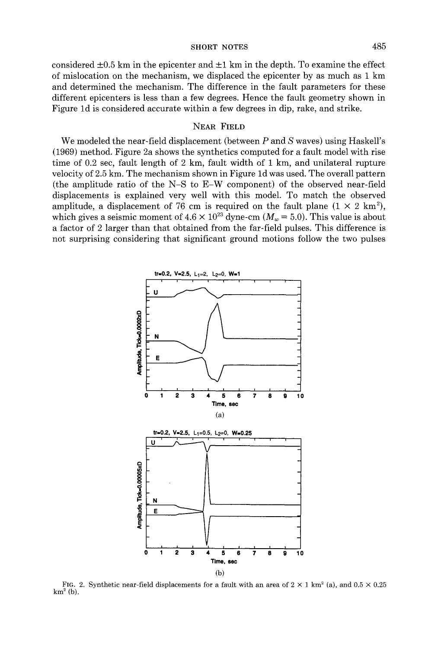considered  $\pm 0.5$  km in the epicenter and  $\pm 1$  km in the depth. To examine the effect of mislocation on the mechanism, we displaced the epicenter by as much as 1 km and determined the mechanism. The difference in the fault parameters for these different epicenters is less than a few degrees. Hence the fault geometry shown in Figure 1d is considered accurate within a few degrees in dip, rake, and strike.

# NEAR FIELD

We modeled the near-field displacement (between *P* and *S* waves) using Haskell's (1969) method. Figure 2a shows the synthetics computed for a fault model with rise time of 0.2 sec, fault length of 2 km, fault width of 1 km, and unilateral rupture velocity of 2.5 km. The mechanism shown in Figure 1d was used. The overall pattern (the amplitude ratio of the N-S to E-W component) of the observed near-field displacements is explained very well with this model. To match the observed amplitude, a displacement of 76 cm is required on the fault plane  $(1 \times 2 \text{ km}^2)$ , which gives a seismic moment of  $4.6 \times 10^{23}$  dyne-cm  $(M_w = 5.0)$ . This value is about a factor of 2 larger than that obtained from the far-field pulses. This difference is not surprising considering that significant ground motions follow the two pulses



FIG. 2. Synthetic near-field displacements for a fault with an area of  $2 \times 1$  km<sup>2</sup> (a), and  $0.5 \times 0.25$  $km<sup>2</sup>$  (b).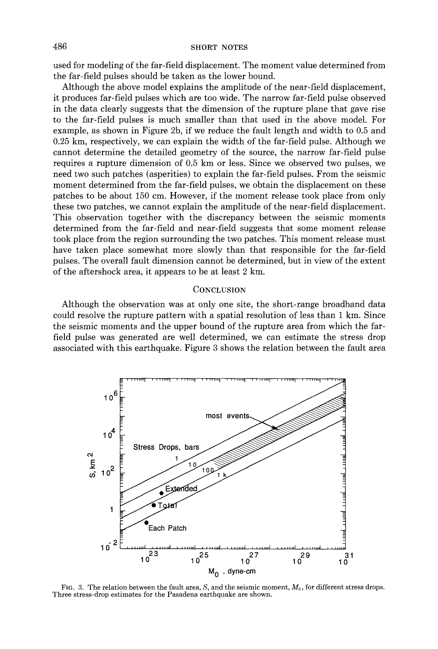used for modeling of the far-field displacement. The moment value determined from the far-field pulses should be taken as the lower bound.

Although the above model explains the amplitude of the near-field displacement, it produces far-field pulses which are too wide. The narrow far-field pulse observed in the data clearly suggests that the dimension of the rupture plane that gave rise to the far-field pulses is much smaller than that used in the above model. For example, as shown in Figure 2b, if we reduce the fault length and width to 0.5 and 0.25 km, respectively, we can explain the width of the far-field pulse. Although we cannot determine the detailed geometry of the source, the narrow far-field pulse requires a rupture dimension of 0.5 km or less. Since we observed two pulses, we need two such patches (asperities) to explain the far-field pulses. From the seismic moment determined from the far-field pulses, we obtain the displacement on these patches to be about 150 em. However, if the moment release took place from only these two patches, we cannot explain the amplitude of the near-field displacement. This observation together with the discrepancy between the seismic moments determined from the far-field and near-field suggests that some moment release took place from the region surrounding the two patches. This moment release must have taken place somewhat more slowly than that responsible for the far-field pulses. The overall fault dimension cannot be determined, but in view of the extent of the aftershock area, it appears to be at least 2 km.

### **CONCLUSION**

Although the observation was at only one site, the short-range broadband data could resolve the rupture pattern with a spatial resolution of less than 1 km. Since the seismic moments and the upper bound of the rupture area from which the farfield pulse was generated are well determined, we can estimate the stress drop associated with this earthquake. Figure 3 shows the relation between the fault area



FIG. 3. The relation between the fault area, *S*, and the seismic moment,  $M_0$ , for different stress drops. Three stress-drop estimates for the Pasadena earthquake are shown.